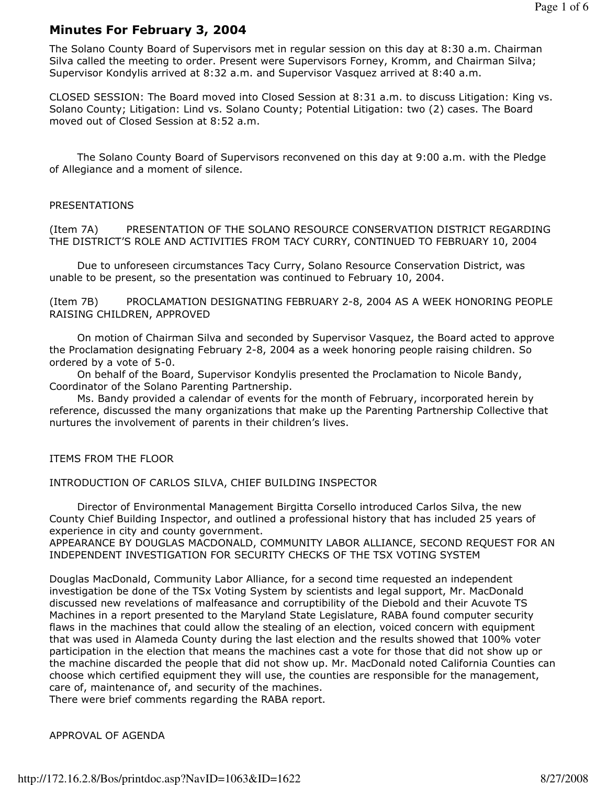# Minutes For February 3, 2004

The Solano County Board of Supervisors met in regular session on this day at 8:30 a.m. Chairman Silva called the meeting to order. Present were Supervisors Forney, Kromm, and Chairman Silva; Supervisor Kondylis arrived at 8:32 a.m. and Supervisor Vasquez arrived at 8:40 a.m.

CLOSED SESSION: The Board moved into Closed Session at 8:31 a.m. to discuss Litigation: King vs. Solano County; Litigation: Lind vs. Solano County; Potential Litigation: two (2) cases. The Board moved out of Closed Session at 8:52 a.m.

 The Solano County Board of Supervisors reconvened on this day at 9:00 a.m. with the Pledge of Allegiance and a moment of silence.

#### PRESENTATIONS

(Item 7A) PRESENTATION OF THE SOLANO RESOURCE CONSERVATION DISTRICT REGARDING THE DISTRICT'S ROLE AND ACTIVITIES FROM TACY CURRY, CONTINUED TO FEBRUARY 10, 2004

 Due to unforeseen circumstances Tacy Curry, Solano Resource Conservation District, was unable to be present, so the presentation was continued to February 10, 2004.

(Item 7B) PROCLAMATION DESIGNATING FEBRUARY 2-8, 2004 AS A WEEK HONORING PEOPLE RAISING CHILDREN, APPROVED

 On motion of Chairman Silva and seconded by Supervisor Vasquez, the Board acted to approve the Proclamation designating February 2-8, 2004 as a week honoring people raising children. So ordered by a vote of 5-0.

 On behalf of the Board, Supervisor Kondylis presented the Proclamation to Nicole Bandy, Coordinator of the Solano Parenting Partnership.

 Ms. Bandy provided a calendar of events for the month of February, incorporated herein by reference, discussed the many organizations that make up the Parenting Partnership Collective that nurtures the involvement of parents in their children's lives.

ITEMS FROM THE FLOOR

INTRODUCTION OF CARLOS SILVA, CHIEF BUILDING INSPECTOR

 Director of Environmental Management Birgitta Corsello introduced Carlos Silva, the new County Chief Building Inspector, and outlined a professional history that has included 25 years of experience in city and county government.

APPEARANCE BY DOUGLAS MACDONALD, COMMUNITY LABOR ALLIANCE, SECOND REQUEST FOR AN INDEPENDENT INVESTIGATION FOR SECURITY CHECKS OF THE TSX VOTING SYSTEM

Douglas MacDonald, Community Labor Alliance, for a second time requested an independent investigation be done of the TSx Voting System by scientists and legal support, Mr. MacDonald discussed new revelations of malfeasance and corruptibility of the Diebold and their Acuvote TS Machines in a report presented to the Maryland State Legislature, RABA found computer security flaws in the machines that could allow the stealing of an election, voiced concern with equipment that was used in Alameda County during the last election and the results showed that 100% voter participation in the election that means the machines cast a vote for those that did not show up or the machine discarded the people that did not show up. Mr. MacDonald noted California Counties can choose which certified equipment they will use, the counties are responsible for the management, care of, maintenance of, and security of the machines.

There were brief comments regarding the RABA report.

APPROVAL OF AGENDA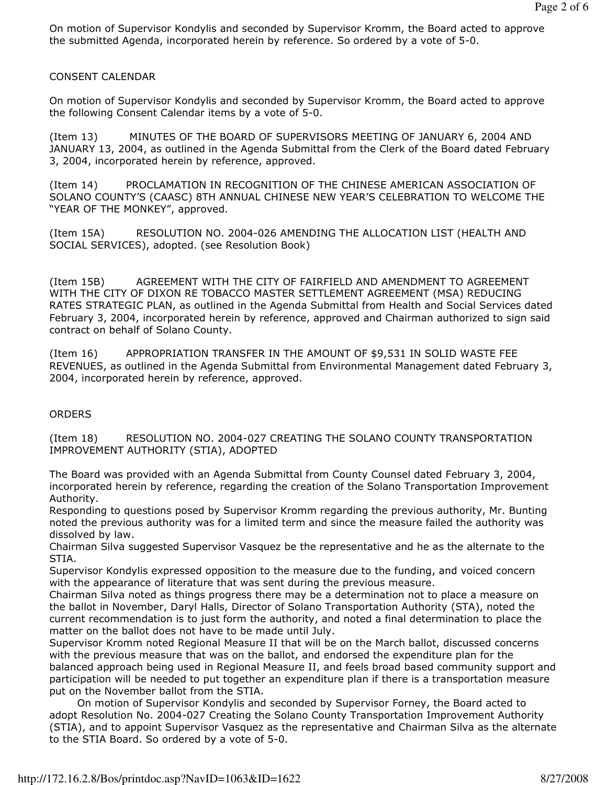On motion of Supervisor Kondylis and seconded by Supervisor Kromm, the Board acted to approve the submitted Agenda, incorporated herein by reference. So ordered by a vote of 5-0.

#### CONSENT CALENDAR

On motion of Supervisor Kondylis and seconded by Supervisor Kromm, the Board acted to approve the following Consent Calendar items by a vote of 5-0.

(Item 13) MINUTES OF THE BOARD OF SUPERVISORS MEETING OF JANUARY 6, 2004 AND JANUARY 13, 2004, as outlined in the Agenda Submittal from the Clerk of the Board dated February 3, 2004, incorporated herein by reference, approved.

(Item 14) PROCLAMATION IN RECOGNITION OF THE CHINESE AMERICAN ASSOCIATION OF SOLANO COUNTY'S (CAASC) 8TH ANNUAL CHINESE NEW YEAR'S CELEBRATION TO WELCOME THE "YEAR OF THE MONKEY", approved.

(Item 15A) RESOLUTION NO. 2004-026 AMENDING THE ALLOCATION LIST (HEALTH AND SOCIAL SERVICES), adopted. (see Resolution Book)

(Item 15B) AGREEMENT WITH THE CITY OF FAIRFIELD AND AMENDMENT TO AGREEMENT WITH THE CITY OF DIXON RE TOBACCO MASTER SETTLEMENT AGREEMENT (MSA) REDUCING RATES STRATEGIC PLAN, as outlined in the Agenda Submittal from Health and Social Services dated February 3, 2004, incorporated herein by reference, approved and Chairman authorized to sign said contract on behalf of Solano County.

(Item 16) APPROPRIATION TRANSFER IN THE AMOUNT OF \$9,531 IN SOLID WASTE FEE REVENUES, as outlined in the Agenda Submittal from Environmental Management dated February 3, 2004, incorporated herein by reference, approved.

### **ORDERS**

(Item 18) RESOLUTION NO. 2004-027 CREATING THE SOLANO COUNTY TRANSPORTATION IMPROVEMENT AUTHORITY (STIA), ADOPTED

The Board was provided with an Agenda Submittal from County Counsel dated February 3, 2004, incorporated herein by reference, regarding the creation of the Solano Transportation Improvement Authority.

Responding to questions posed by Supervisor Kromm regarding the previous authority, Mr. Bunting noted the previous authority was for a limited term and since the measure failed the authority was dissolved by law.

Chairman Silva suggested Supervisor Vasquez be the representative and he as the alternate to the STIA.

Supervisor Kondylis expressed opposition to the measure due to the funding, and voiced concern with the appearance of literature that was sent during the previous measure.

Chairman Silva noted as things progress there may be a determination not to place a measure on the ballot in November, Daryl Halls, Director of Solano Transportation Authority (STA), noted the current recommendation is to just form the authority, and noted a final determination to place the matter on the ballot does not have to be made until July.

Supervisor Kromm noted Regional Measure II that will be on the March ballot, discussed concerns with the previous measure that was on the ballot, and endorsed the expenditure plan for the balanced approach being used in Regional Measure II, and feels broad based community support and participation will be needed to put together an expenditure plan if there is a transportation measure put on the November ballot from the STIA.

 On motion of Supervisor Kondylis and seconded by Supervisor Forney, the Board acted to adopt Resolution No. 2004-027 Creating the Solano County Transportation Improvement Authority (STIA), and to appoint Supervisor Vasquez as the representative and Chairman Silva as the alternate to the STIA Board. So ordered by a vote of 5-0.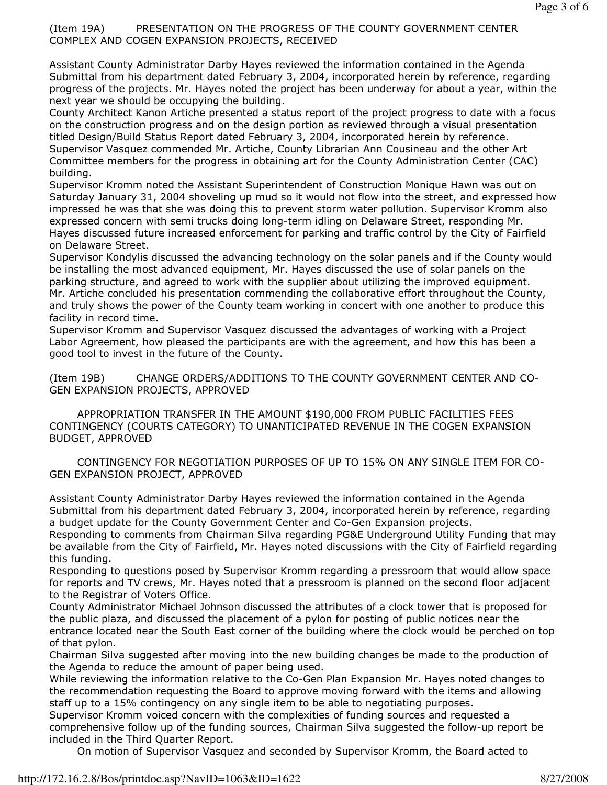## (Item 19A) PRESENTATION ON THE PROGRESS OF THE COUNTY GOVERNMENT CENTER COMPLEX AND COGEN EXPANSION PROJECTS, RECEIVED

Assistant County Administrator Darby Hayes reviewed the information contained in the Agenda Submittal from his department dated February 3, 2004, incorporated herein by reference, regarding progress of the projects. Mr. Hayes noted the project has been underway for about a year, within the next year we should be occupying the building.

County Architect Kanon Artiche presented a status report of the project progress to date with a focus on the construction progress and on the design portion as reviewed through a visual presentation titled Design/Build Status Report dated February 3, 2004, incorporated herein by reference. Supervisor Vasquez commended Mr. Artiche, County Librarian Ann Cousineau and the other Art Committee members for the progress in obtaining art for the County Administration Center (CAC) building.

Supervisor Kromm noted the Assistant Superintendent of Construction Monique Hawn was out on Saturday January 31, 2004 shoveling up mud so it would not flow into the street, and expressed how impressed he was that she was doing this to prevent storm water pollution. Supervisor Kromm also expressed concern with semi trucks doing long-term idling on Delaware Street, responding Mr. Hayes discussed future increased enforcement for parking and traffic control by the City of Fairfield on Delaware Street.

Supervisor Kondylis discussed the advancing technology on the solar panels and if the County would be installing the most advanced equipment, Mr. Hayes discussed the use of solar panels on the parking structure, and agreed to work with the supplier about utilizing the improved equipment. Mr. Artiche concluded his presentation commending the collaborative effort throughout the County, and truly shows the power of the County team working in concert with one another to produce this facility in record time.

Supervisor Kromm and Supervisor Vasquez discussed the advantages of working with a Project Labor Agreement, how pleased the participants are with the agreement, and how this has been a good tool to invest in the future of the County.

(Item 19B) CHANGE ORDERS/ADDITIONS TO THE COUNTY GOVERNMENT CENTER AND CO-GEN EXPANSION PROJECTS, APPROVED

 APPROPRIATION TRANSFER IN THE AMOUNT \$190,000 FROM PUBLIC FACILITIES FEES CONTINGENCY (COURTS CATEGORY) TO UNANTICIPATED REVENUE IN THE COGEN EXPANSION BUDGET, APPROVED

 CONTINGENCY FOR NEGOTIATION PURPOSES OF UP TO 15% ON ANY SINGLE ITEM FOR CO-GEN EXPANSION PROJECT, APPROVED

Assistant County Administrator Darby Hayes reviewed the information contained in the Agenda Submittal from his department dated February 3, 2004, incorporated herein by reference, regarding a budget update for the County Government Center and Co-Gen Expansion projects.

Responding to comments from Chairman Silva regarding PG&E Underground Utility Funding that may be available from the City of Fairfield, Mr. Hayes noted discussions with the City of Fairfield regarding this funding.

Responding to questions posed by Supervisor Kromm regarding a pressroom that would allow space for reports and TV crews, Mr. Hayes noted that a pressroom is planned on the second floor adjacent to the Registrar of Voters Office.

County Administrator Michael Johnson discussed the attributes of a clock tower that is proposed for the public plaza, and discussed the placement of a pylon for posting of public notices near the entrance located near the South East corner of the building where the clock would be perched on top of that pylon.

Chairman Silva suggested after moving into the new building changes be made to the production of the Agenda to reduce the amount of paper being used.

While reviewing the information relative to the Co-Gen Plan Expansion Mr. Hayes noted changes to the recommendation requesting the Board to approve moving forward with the items and allowing staff up to a 15% contingency on any single item to be able to negotiating purposes.

Supervisor Kromm voiced concern with the complexities of funding sources and requested a comprehensive follow up of the funding sources, Chairman Silva suggested the follow-up report be included in the Third Quarter Report.

On motion of Supervisor Vasquez and seconded by Supervisor Kromm, the Board acted to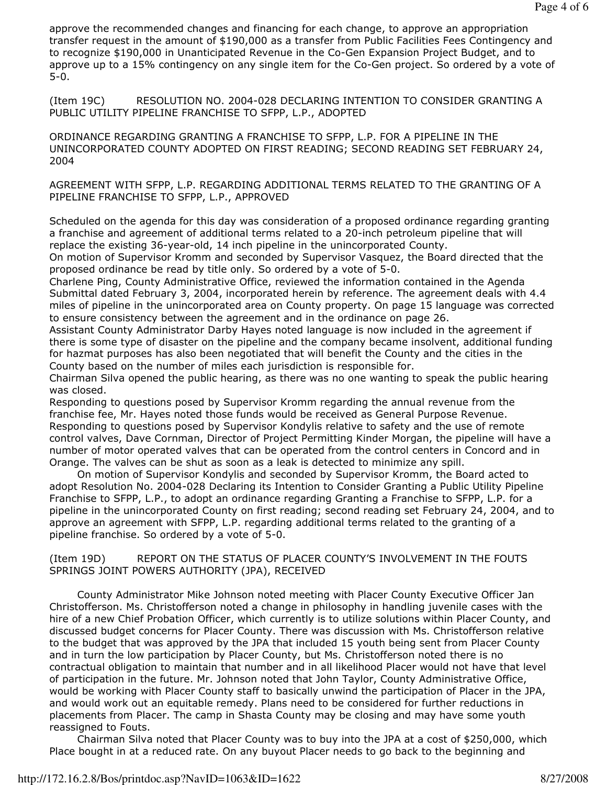approve the recommended changes and financing for each change, to approve an appropriation transfer request in the amount of \$190,000 as a transfer from Public Facilities Fees Contingency and to recognize \$190,000 in Unanticipated Revenue in the Co-Gen Expansion Project Budget, and to approve up to a 15% contingency on any single item for the Co-Gen project. So ordered by a vote of 5-0.

(Item 19C) RESOLUTION NO. 2004-028 DECLARING INTENTION TO CONSIDER GRANTING A PUBLIC UTILITY PIPELINE FRANCHISE TO SFPP, L.P., ADOPTED

ORDINANCE REGARDING GRANTING A FRANCHISE TO SFPP, L.P. FOR A PIPELINE IN THE UNINCORPORATED COUNTY ADOPTED ON FIRST READING; SECOND READING SET FEBRUARY 24, 2004

AGREEMENT WITH SFPP, L.P. REGARDING ADDITIONAL TERMS RELATED TO THE GRANTING OF A PIPELINE FRANCHISE TO SFPP, L.P., APPROVED

Scheduled on the agenda for this day was consideration of a proposed ordinance regarding granting a franchise and agreement of additional terms related to a 20-inch petroleum pipeline that will replace the existing 36-year-old, 14 inch pipeline in the unincorporated County.

On motion of Supervisor Kromm and seconded by Supervisor Vasquez, the Board directed that the proposed ordinance be read by title only. So ordered by a vote of 5-0.

Charlene Ping, County Administrative Office, reviewed the information contained in the Agenda Submittal dated February 3, 2004, incorporated herein by reference. The agreement deals with 4.4 miles of pipeline in the unincorporated area on County property. On page 15 language was corrected to ensure consistency between the agreement and in the ordinance on page 26.

Assistant County Administrator Darby Hayes noted language is now included in the agreement if there is some type of disaster on the pipeline and the company became insolvent, additional funding for hazmat purposes has also been negotiated that will benefit the County and the cities in the County based on the number of miles each jurisdiction is responsible for.

Chairman Silva opened the public hearing, as there was no one wanting to speak the public hearing was closed.

Responding to questions posed by Supervisor Kromm regarding the annual revenue from the franchise fee, Mr. Hayes noted those funds would be received as General Purpose Revenue. Responding to questions posed by Supervisor Kondylis relative to safety and the use of remote control valves, Dave Cornman, Director of Project Permitting Kinder Morgan, the pipeline will have a number of motor operated valves that can be operated from the control centers in Concord and in Orange. The valves can be shut as soon as a leak is detected to minimize any spill.

 On motion of Supervisor Kondylis and seconded by Supervisor Kromm, the Board acted to adopt Resolution No. 2004-028 Declaring its Intention to Consider Granting a Public Utility Pipeline Franchise to SFPP, L.P., to adopt an ordinance regarding Granting a Franchise to SFPP, L.P. for a pipeline in the unincorporated County on first reading; second reading set February 24, 2004, and to approve an agreement with SFPP, L.P. regarding additional terms related to the granting of a pipeline franchise. So ordered by a vote of 5-0.

(Item 19D) REPORT ON THE STATUS OF PLACER COUNTY'S INVOLVEMENT IN THE FOUTS SPRINGS JOINT POWERS AUTHORITY (JPA), RECEIVED

 County Administrator Mike Johnson noted meeting with Placer County Executive Officer Jan Christofferson. Ms. Christofferson noted a change in philosophy in handling juvenile cases with the hire of a new Chief Probation Officer, which currently is to utilize solutions within Placer County, and discussed budget concerns for Placer County. There was discussion with Ms. Christofferson relative to the budget that was approved by the JPA that included 15 youth being sent from Placer County and in turn the low participation by Placer County, but Ms. Christofferson noted there is no contractual obligation to maintain that number and in all likelihood Placer would not have that level of participation in the future. Mr. Johnson noted that John Taylor, County Administrative Office, would be working with Placer County staff to basically unwind the participation of Placer in the JPA, and would work out an equitable remedy. Plans need to be considered for further reductions in placements from Placer. The camp in Shasta County may be closing and may have some youth reassigned to Fouts.

 Chairman Silva noted that Placer County was to buy into the JPA at a cost of \$250,000, which Place bought in at a reduced rate. On any buyout Placer needs to go back to the beginning and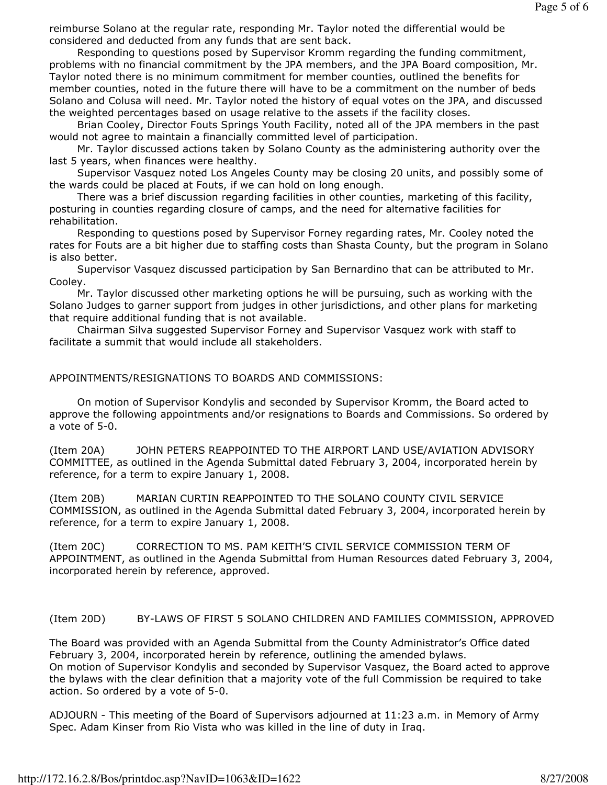reimburse Solano at the regular rate, responding Mr. Taylor noted the differential would be considered and deducted from any funds that are sent back.

 Responding to questions posed by Supervisor Kromm regarding the funding commitment, problems with no financial commitment by the JPA members, and the JPA Board composition, Mr. Taylor noted there is no minimum commitment for member counties, outlined the benefits for member counties, noted in the future there will have to be a commitment on the number of beds Solano and Colusa will need. Mr. Taylor noted the history of equal votes on the JPA, and discussed the weighted percentages based on usage relative to the assets if the facility closes.

 Brian Cooley, Director Fouts Springs Youth Facility, noted all of the JPA members in the past would not agree to maintain a financially committed level of participation.

 Mr. Taylor discussed actions taken by Solano County as the administering authority over the last 5 years, when finances were healthy.

 Supervisor Vasquez noted Los Angeles County may be closing 20 units, and possibly some of the wards could be placed at Fouts, if we can hold on long enough.

 There was a brief discussion regarding facilities in other counties, marketing of this facility, posturing in counties regarding closure of camps, and the need for alternative facilities for rehabilitation.

 Responding to questions posed by Supervisor Forney regarding rates, Mr. Cooley noted the rates for Fouts are a bit higher due to staffing costs than Shasta County, but the program in Solano is also better.

 Supervisor Vasquez discussed participation by San Bernardino that can be attributed to Mr. Cooley.

 Mr. Taylor discussed other marketing options he will be pursuing, such as working with the Solano Judges to garner support from judges in other jurisdictions, and other plans for marketing that require additional funding that is not available.

 Chairman Silva suggested Supervisor Forney and Supervisor Vasquez work with staff to facilitate a summit that would include all stakeholders.

## APPOINTMENTS/RESIGNATIONS TO BOARDS AND COMMISSIONS:

 On motion of Supervisor Kondylis and seconded by Supervisor Kromm, the Board acted to approve the following appointments and/or resignations to Boards and Commissions. So ordered by a vote of 5-0.

(Item 20A) JOHN PETERS REAPPOINTED TO THE AIRPORT LAND USE/AVIATION ADVISORY COMMITTEE, as outlined in the Agenda Submittal dated February 3, 2004, incorporated herein by reference, for a term to expire January 1, 2008.

(Item 20B) MARIAN CURTIN REAPPOINTED TO THE SOLANO COUNTY CIVIL SERVICE COMMISSION, as outlined in the Agenda Submittal dated February 3, 2004, incorporated herein by reference, for a term to expire January 1, 2008.

(Item 20C) CORRECTION TO MS. PAM KEITH'S CIVIL SERVICE COMMISSION TERM OF APPOINTMENT, as outlined in the Agenda Submittal from Human Resources dated February 3, 2004, incorporated herein by reference, approved.

# (Item 20D) BY-LAWS OF FIRST 5 SOLANO CHILDREN AND FAMILIES COMMISSION, APPROVED

The Board was provided with an Agenda Submittal from the County Administrator's Office dated February 3, 2004, incorporated herein by reference, outlining the amended bylaws. On motion of Supervisor Kondylis and seconded by Supervisor Vasquez, the Board acted to approve the bylaws with the clear definition that a majority vote of the full Commission be required to take action. So ordered by a vote of 5-0.

ADJOURN - This meeting of the Board of Supervisors adjourned at 11:23 a.m. in Memory of Army Spec. Adam Kinser from Rio Vista who was killed in the line of duty in Iraq.